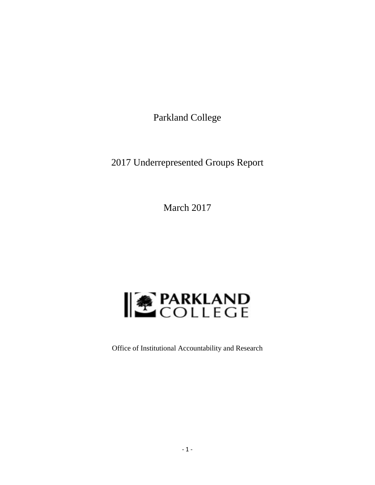Parkland College

2017 Underrepresented Groups Report

March 2017



Office of Institutional Accountability and Research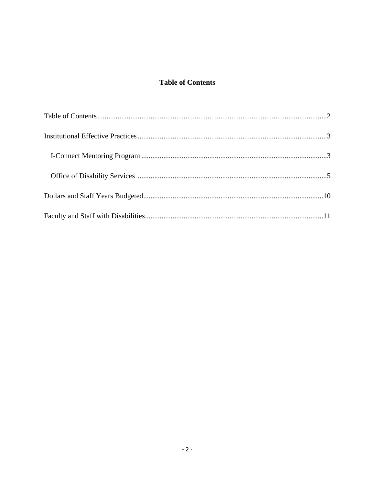# **Table of Contents**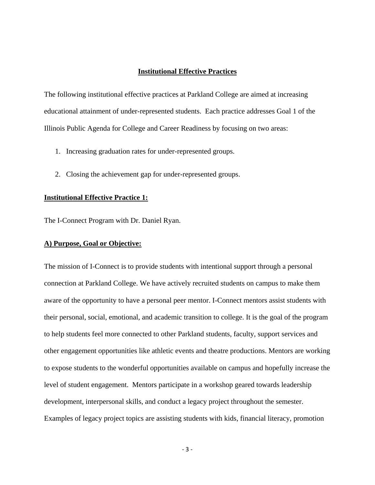# **Institutional Effective Practices**

The following institutional effective practices at Parkland College are aimed at increasing educational attainment of under-represented students. Each practice addresses Goal 1 of the Illinois Public Agenda for College and Career Readiness by focusing on two areas:

- 1. Increasing graduation rates for under-represented groups.
- 2. Closing the achievement gap for under-represented groups.

# **Institutional Effective Practice 1:**

The I-Connect Program with Dr. Daniel Ryan.

# **A) Purpose, Goal or Objective:**

The mission of I-Connect is to provide students with intentional support through a personal connection at Parkland College. We have actively recruited students on campus to make them aware of the opportunity to have a personal peer mentor. I-Connect mentors assist students with their personal, social, emotional, and academic transition to college. It is the goal of the program to help students feel more connected to other Parkland students, faculty, support services and other engagement opportunities like athletic events and theatre productions. Mentors are working to expose students to the wonderful opportunities available on campus and hopefully increase the level of student engagement. Mentors participate in a workshop geared towards leadership development, interpersonal skills, and conduct a legacy project throughout the semester. Examples of legacy project topics are assisting students with kids, financial literacy, promotion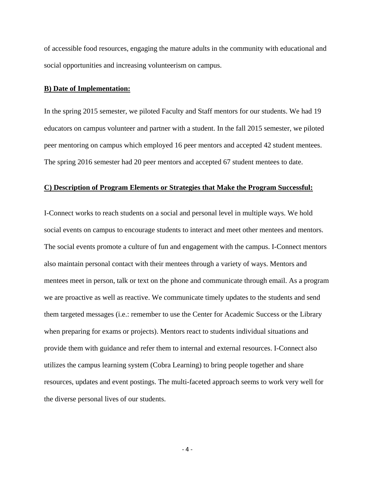of accessible food resources, engaging the mature adults in the community with educational and social opportunities and increasing volunteerism on campus.

### **B) Date of Implementation:**

In the spring 2015 semester, we piloted Faculty and Staff mentors for our students. We had 19 educators on campus volunteer and partner with a student. In the fall 2015 semester, we piloted peer mentoring on campus which employed 16 peer mentors and accepted 42 student mentees. The spring 2016 semester had 20 peer mentors and accepted 67 student mentees to date.

### **C) Description of Program Elements or Strategies that Make the Program Successful:**

I-Connect works to reach students on a social and personal level in multiple ways. We hold social events on campus to encourage students to interact and meet other mentees and mentors. The social events promote a culture of fun and engagement with the campus. I-Connect mentors also maintain personal contact with their mentees through a variety of ways. Mentors and mentees meet in person, talk or text on the phone and communicate through email. As a program we are proactive as well as reactive. We communicate timely updates to the students and send them targeted messages (i.e.: remember to use the Center for Academic Success or the Library when preparing for exams or projects). Mentors react to students individual situations and provide them with guidance and refer them to internal and external resources. I-Connect also utilizes the campus learning system (Cobra Learning) to bring people together and share resources, updates and event postings. The multi-faceted approach seems to work very well for the diverse personal lives of our students.

 $-4-$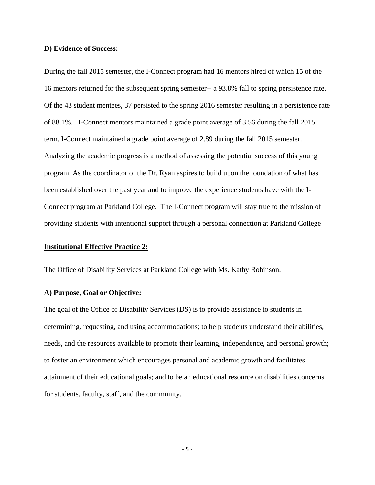# **D) Evidence of Success:**

During the fall 2015 semester, the I-Connect program had 16 mentors hired of which 15 of the 16 mentors returned for the subsequent spring semester-- a 93.8% fall to spring persistence rate. Of the 43 student mentees, 37 persisted to the spring 2016 semester resulting in a persistence rate of 88.1%. I-Connect mentors maintained a grade point average of 3.56 during the fall 2015 term. I-Connect maintained a grade point average of 2.89 during the fall 2015 semester. Analyzing the academic progress is a method of assessing the potential success of this young program. As the coordinator of the Dr. Ryan aspires to build upon the foundation of what has been established over the past year and to improve the experience students have with the I-Connect program at Parkland College. The I-Connect program will stay true to the mission of providing students with intentional support through a personal connection at Parkland College

# **Institutional Effective Practice 2:**

The Office of Disability Services at Parkland College with Ms. Kathy Robinson.

# **A) Purpose, Goal or Objective:**

The goal of the Office of Disability Services (DS) is to provide assistance to students in determining, requesting, and using accommodations; to help students understand their abilities, needs, and the resources available to promote their learning, independence, and personal growth; to foster an environment which encourages personal and academic growth and facilitates attainment of their educational goals; and to be an educational resource on disabilities concerns for students, faculty, staff, and the community.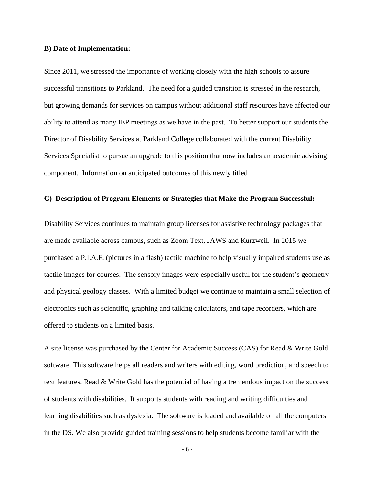### **B) Date of Implementation:**

Since 2011, we stressed the importance of working closely with the high schools to assure successful transitions to Parkland. The need for a guided transition is stressed in the research, but growing demands for services on campus without additional staff resources have affected our ability to attend as many IEP meetings as we have in the past. To better support our students the Director of Disability Services at Parkland College collaborated with the current Disability Services Specialist to pursue an upgrade to this position that now includes an academic advising component. Information on anticipated outcomes of this newly titled

# **C) Description of Program Elements or Strategies that Make the Program Successful:**

Disability Services continues to maintain group licenses for assistive technology packages that are made available across campus, such as Zoom Text, JAWS and Kurzweil. In 2015 we purchased a P.I.A.F. (pictures in a flash) tactile machine to help visually impaired students use as tactile images for courses. The sensory images were especially useful for the student's geometry and physical geology classes. With a limited budget we continue to maintain a small selection of electronics such as scientific, graphing and talking calculators, and tape recorders, which are offered to students on a limited basis.

A site license was purchased by the Center for Academic Success (CAS) for Read & Write Gold software. This software helps all readers and writers with editing, word prediction, and speech to text features. Read & Write Gold has the potential of having a tremendous impact on the success of students with disabilities. It supports students with reading and writing difficulties and learning disabilities such as dyslexia. The software is loaded and available on all the computers in the DS. We also provide guided training sessions to help students become familiar with the

 $-6-$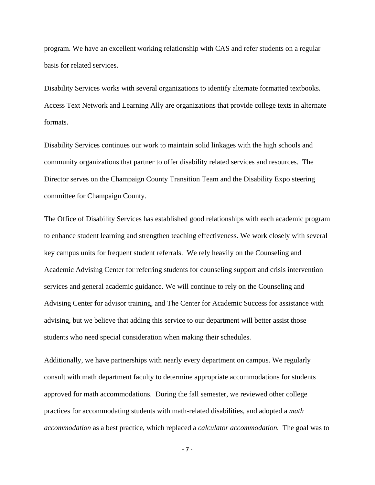program. We have an excellent working relationship with CAS and refer students on a regular basis for related services.

Disability Services works with several organizations to identify alternate formatted textbooks. Access Text Network and Learning Ally are organizations that provide college texts in alternate formats.

Disability Services continues our work to maintain solid linkages with the high schools and community organizations that partner to offer disability related services and resources. The Director serves on the Champaign County Transition Team and the Disability Expo steering committee for Champaign County.

The Office of Disability Services has established good relationships with each academic program to enhance student learning and strengthen teaching effectiveness. We work closely with several key campus units for frequent student referrals. We rely heavily on the Counseling and Academic Advising Center for referring students for counseling support and crisis intervention services and general academic guidance. We will continue to rely on the Counseling and Advising Center for advisor training, and The Center for Academic Success for assistance with advising, but we believe that adding this service to our department will better assist those students who need special consideration when making their schedules.

Additionally, we have partnerships with nearly every department on campus. We regularly consult with math department faculty to determine appropriate accommodations for students approved for math accommodations. During the fall semester, we reviewed other college practices for accommodating students with math-related disabilities, and adopted a *math accommodation* as a best practice, which replaced a *calculator accommodation.* The goal was to

 $-7$  –  $-7$  –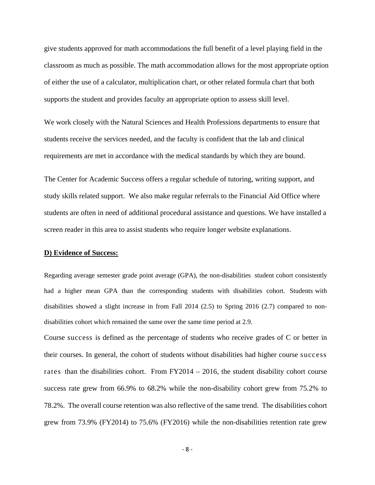give students approved for math accommodations the full benefit of a level playing field in the classroom as much as possible. The math accommodation allows for the most appropriate option of either the use of a calculator, multiplication chart, or other related formula chart that both supports the student and provides faculty an appropriate option to assess skill level.

We work closely with the Natural Sciences and Health Professions departments to ensure that students receive the services needed, and the faculty is confident that the lab and clinical requirements are met in accordance with the medical standards by which they are bound.

The Center for Academic Success offers a regular schedule of tutoring, writing support, and study skills related support. We also make regular referrals to the Financial Aid Office where students are often in need of additional procedural assistance and questions. We have installed a screen reader in this area to assist students who require longer website explanations.

# **D) Evidence of Success:**

Regarding average semester grade point average (GPA), the non-disabilities student cohort consistently had a higher mean GPA than the corresponding students with disabilities cohort. Students with disabilities showed a slight increase in from Fall 2014 (2.5) to Spring 2016 (2.7) compared to nondisabilities cohort which remained the same over the same time period at 2.9.

Course success is defined as the percentage of students who receive grades of C or better in their courses. In general, the cohort of students without disabilities had higher course success rates than the disabilities cohort. From  $FY2014 - 2016$ , the student disability cohort course success rate grew from 66.9% to 68.2% while the non-disability cohort grew from 75.2% to 78.2%. The overall course retention was also reflective of the same trend. The disabilities cohort grew from 73.9% (FY2014) to 75.6% (FY2016) while the non-disabilities retention rate grew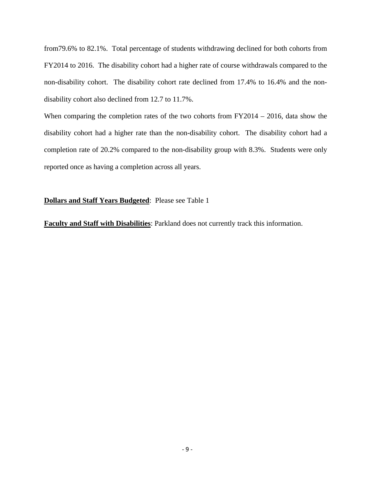from79.6% to 82.1%. Total percentage of students withdrawing declined for both cohorts from FY2014 to 2016. The disability cohort had a higher rate of course withdrawals compared to the non-disability cohort. The disability cohort rate declined from 17.4% to 16.4% and the nondisability cohort also declined from 12.7 to 11.7%.

When comparing the completion rates of the two cohorts from FY2014 – 2016, data show the disability cohort had a higher rate than the non-disability cohort. The disability cohort had a completion rate of 20.2% compared to the non-disability group with 8.3%. Students were only reported once as having a completion across all years.

# **Dollars and Staff Years Budgeted**: Please see Table 1

**Faculty and Staff with Disabilities**: Parkland does not currently track this information.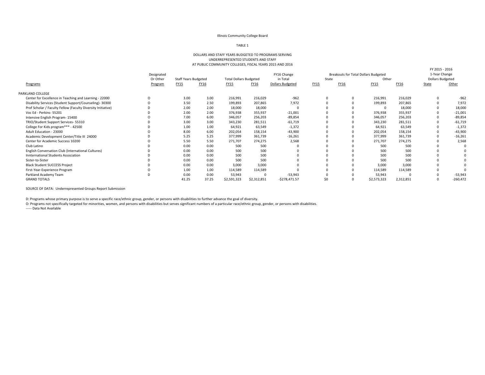#### Illinois Community College Board

#### TABLE 1

#### DOLLARS AND STAFF YEARS BUDGETED TO PROGRAMS SERVING UNDERREPRESENTED STUDENTS AND STAFF AT PUBLIC COMMUNITY COLLEGES, FISCAL YEARS 2015 AND 2016

|                                                              |            |                             |       |                               |             |                         |             |                                      |             |           | FY 2015 - 2016          |            |
|--------------------------------------------------------------|------------|-----------------------------|-------|-------------------------------|-------------|-------------------------|-------------|--------------------------------------|-------------|-----------|-------------------------|------------|
|                                                              | Designated |                             |       |                               |             | FY16 Change             |             | Breakouts for Total Dollars Budgeted |             |           | 1-Year Change           |            |
|                                                              | Or Other   | <b>Staff Years Budgeted</b> |       | <b>Total Dollars Budgeted</b> |             | in Total                | State       |                                      | Other       |           | <b>Dollars Budgeted</b> |            |
| Programs                                                     | Program    | <b>FY15</b>                 | FY16  | FY15                          | FY16        | <b>Dollars Budgeted</b> | <b>FY15</b> | FY16                                 | <b>FY15</b> | FY16      | State                   | Other      |
| PARKLAND COLLEGE                                             |            |                             |       |                               |             |                         |             |                                      |             |           |                         |            |
| Center for Excellence in Teaching and Learning - 22000       | O          | 3.00                        | 3.00  | 216,991                       | 216,029     | $-962$                  |             |                                      | 216,991     | 216,029   |                         | $-962$     |
| Disability Services (Student Support/Counseling)- 30300      |            | 3.50                        | 2.50  | 199,893                       | 207,865     | 7,972                   |             |                                      | 199,893     | 207,865   |                         | 7,972      |
| Prof Scholar / Faculty Fellow (Faculty Diversity Initiative) |            | 2.00                        | 2.00  | 18,000                        | 18,000      |                         |             |                                      |             | 18,000    |                         | 18,000     |
| Voc Ed - Perkins- 55201                                      |            | 2.00                        | 2.00  | 376,938                       | 355,937     | $-21,001$               |             |                                      | 376,938     | 355,937   |                         | $-21,001$  |
| Intensive English Program- 15400                             |            | 7.00                        | 6.00  | 346,057                       | 256,203     | $-89,854$               |             |                                      | 346,057     | 256,203   |                         | $-89,854$  |
| TRIO/Student Support Services- 55310                         |            | 3.00                        | 3.00  | 343,230                       | 281,511     | $-61,719$               |             |                                      | 343,230     | 281,511   |                         | $-61,719$  |
| College For Kids program*** - 42500                          |            | 1.00                        | 1.00  | 64,921                        | 63,549      | $-1,372$                |             |                                      | 64,921      | 63,549    |                         | $-1,372$   |
| Adult Education - 23000                                      |            | 8.00                        | 6.00  | 202,054                       | 158,154     | $-43,900$               |             |                                      | 202,054     | 158,154   |                         | $-43,900$  |
| Academic Development Center/Title III 24000                  |            | 5.25                        | 5.25  | 377,999                       | 361,739     | $-16,261$               |             |                                      | 377,999     | 361,739   |                         | $-16,261$  |
| Center for Academic Success 10200                            |            | 5.50                        | 5.50  | 271,707                       | 274,275     | 2,568                   |             |                                      | 271,707     | 274,275   |                         | 2,568      |
| Club Latino                                                  |            | 0.00                        | 0.00  | 500                           | 500         |                         |             |                                      | 500         | 500       |                         |            |
| English Conversation Club (International Cultures)           |            | 0.00                        | 0.00  | 500                           | 500         |                         |             |                                      | 500         | 500       |                         |            |
| Innternational Students Association                          |            | 0.00                        | 0.00  | 500                           | 500         |                         |             |                                      | 500         | 500       |                         |            |
| Sister-to-Sister                                             |            | 0.00                        | 0.00  | 500                           | 500         |                         |             |                                      | 500         | 500       |                         |            |
| <b>Black Student SUCCESS Project</b>                         |            | 0.00                        | 0.00  | 3,000                         | 3.000       |                         |             |                                      | 3,000       | 3.000     |                         |            |
| First-Year-Experience Program                                |            | 1.00                        | 1.00  | 114,589                       | 114,589     |                         |             |                                      | 114,589     | 114,589   |                         |            |
| Parkland Academy Team                                        |            | 0.00                        | 0.00  | 53,943                        |             | $-53,943$               |             |                                      | 53,943      |           |                         | $-53,943$  |
| <b>GRAND TOTALS</b>                                          |            | 41.25                       | 37.25 | \$2,591,323                   | \$2,312,851 | $-5278,471.57$          | \$0         |                                      | \$2,573,323 | 2,312,851 | $\Omega$                | $-260,472$ |
|                                                              |            |                             |       |                               |             |                         |             |                                      |             |           |                         |            |

SOURCE OF DATA: Underrepresented Groups Report Submission

D: Programs whose primary purpose is to serve <sup>a</sup> specific race/ethnic group, gender, or persons with disabilities to further advance the goal of diversity.

O: Programs not specifically targeted for minorities, women, and persons with disabilities but serves significant numbers of <sup>a</sup> particular race/ethnic group, gender, or persons with disabilities.

‐‐‐‐‐ Data Not Available